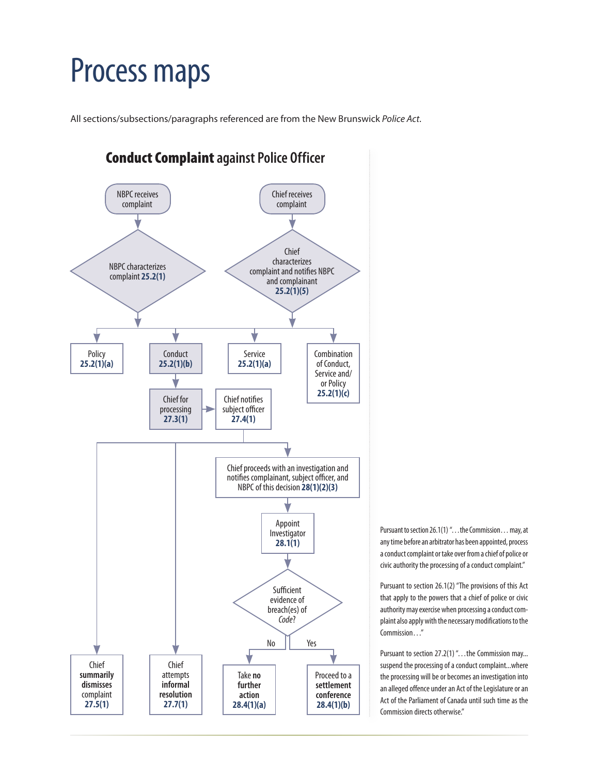## Process maps

All sections/subsections/paragraphs referenced are from the New Brunswick *Police Act*.



Pursuant to section 26.1(1) "…the Commission… may, at any time before an arbitrator has been appointed, process a conduct complaint or take over from a chief of police or civic authority the processing of a conduct complaint."

Pursuant to section 26.1(2) "The provisions of this Act that apply to the powers that a chief of police or civic authority may exercise when processing a conduct complaint also apply with the necessary modifications to the Commission…"

Pursuant to section 27.2(1) ". . . the Commission may... suspend the processing of a conduct complaint...where the processing will be or becomes an investigation into an alleged offence under an Act of the Legislature or an Act of the Parliament of Canada until such time as the Commission directs otherwise."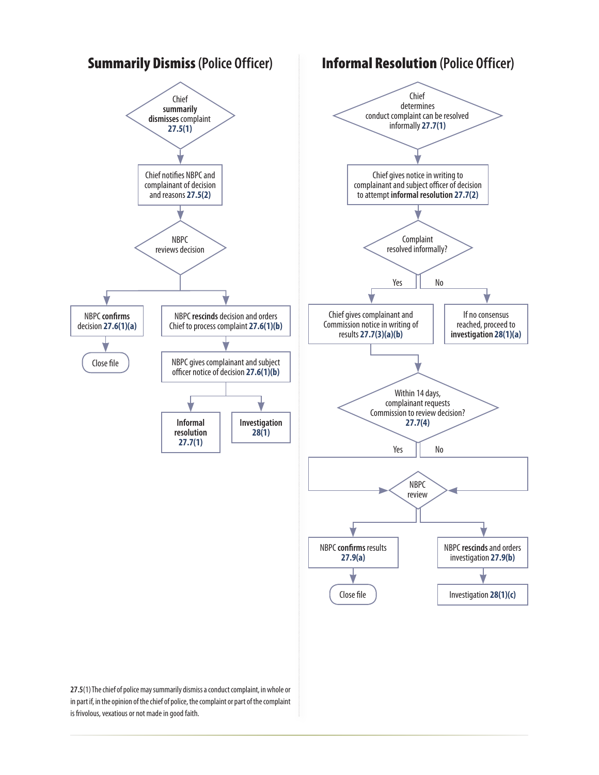

in part if, in the opinion of the chief of police, the complaint or part of the complaint is frivolous, vexatious or not made in good faith.